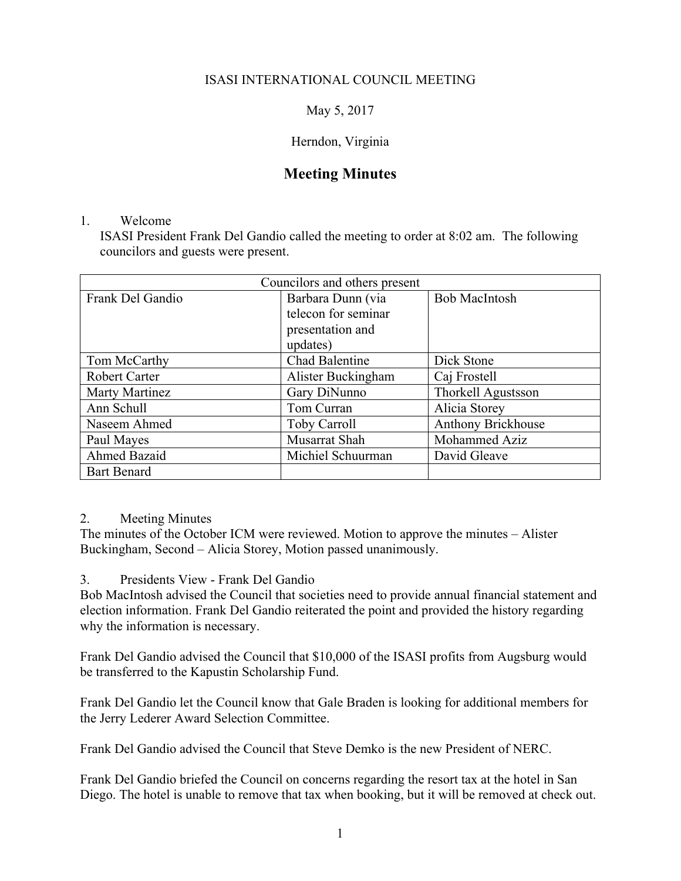### ISASI INTERNATIONAL COUNCIL MEETING

May 5, 2017

#### Herndon, Virginia

# **Meeting Minutes**

#### 1. Welcome

ISASI President Frank Del Gandio called the meeting to order at 8:02 am. The following councilors and guests were present.

| Councilors and others present |                       |                           |
|-------------------------------|-----------------------|---------------------------|
| Frank Del Gandio              | Barbara Dunn (via     | <b>Bob MacIntosh</b>      |
|                               | telecon for seminar   |                           |
|                               | presentation and      |                           |
|                               | updates)              |                           |
| Tom McCarthy                  | <b>Chad Balentine</b> | Dick Stone                |
| <b>Robert Carter</b>          | Alister Buckingham    | Caj Frostell              |
| Marty Martinez                | Gary DiNunno          | <b>Thorkell Agustsson</b> |
| Ann Schull                    | Tom Curran            | Alicia Storey             |
| Naseem Ahmed                  | <b>Toby Carroll</b>   | Anthony Brickhouse        |
| Paul Mayes                    | Musarrat Shah         | Mohammed Aziz             |
| Ahmed Bazaid                  | Michiel Schuurman     | David Gleave              |
| <b>Bart Benard</b>            |                       |                           |

#### 2. Meeting Minutes

The minutes of the October ICM were reviewed. Motion to approve the minutes – Alister Buckingham, Second – Alicia Storey, Motion passed unanimously.

3. Presidents View - Frank Del Gandio

Bob MacIntosh advised the Council that societies need to provide annual financial statement and election information. Frank Del Gandio reiterated the point and provided the history regarding why the information is necessary.

Frank Del Gandio advised the Council that \$10,000 of the ISASI profits from Augsburg would be transferred to the Kapustin Scholarship Fund.

Frank Del Gandio let the Council know that Gale Braden is looking for additional members for the Jerry Lederer Award Selection Committee.

Frank Del Gandio advised the Council that Steve Demko is the new President of NERC.

Frank Del Gandio briefed the Council on concerns regarding the resort tax at the hotel in San Diego. The hotel is unable to remove that tax when booking, but it will be removed at check out.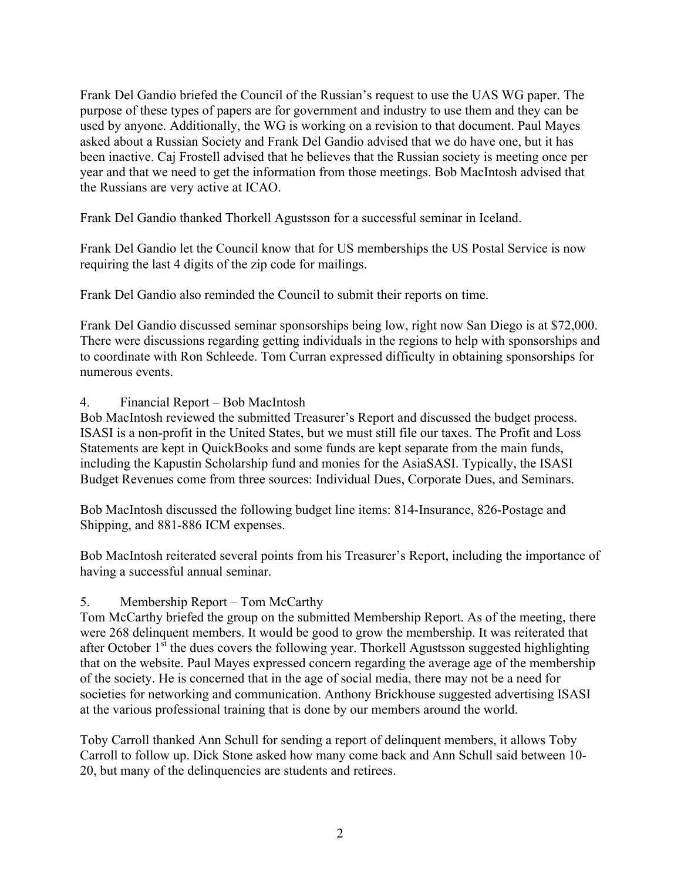Frank Del Gandio briefed the Council of the Russian's request to use the UAS WG paper. The purpose of these types of papers are for government and industry to use them and they can be used by anyone. Additionally, the WG is working on a revision to that document. Paul Mayes asked about a Russian Society and Frank Del Gandio advised that we do have one, but it has been inactive. Caj Frostell advised that he believes that the Russian society is meeting once per year and that we need to get the information from those meetings. Bob MacIntosh advised that the Russians are very active at ICAO.

Frank Del Gandio thanked Thorkell Agustsson for a successful seminar in Iceland.

Frank Del Gandio let the Council know that for US memberships the US Postal Service is now requiring the last 4 digits of the zip code for mailings.

Frank Del Gandio also reminded the Council to submit their reports on time.

Frank Del Gandio discussed seminar sponsorships being low, right now San Diego is at \$72,000. There were discussions regarding getting individuals in the regions to help with sponsorships and to coordinate with Ron Schleede. Tom Curran expressed difficulty in obtaining sponsorships for numerous events.

4. Financial Report – Bob MacIntosh

Bob MacIntosh reviewed the submitted Treasurer's Report and discussed the budget process. ISASI is a non-profit in the United States, but we must still file our taxes. The Profit and Loss Statements are kept in QuickBooks and some funds are kept separate from the main funds, including the Kapustin Scholarship fund and monies for the AsiaSASI. Typically, the ISASI Budget Revenues come from three sources: Individual Dues, Corporate Dues, and Seminars.

Bob MacIntosh discussed the following budget line items: 814-Insurance, 826-Postage and Shipping, and 881-886 ICM expenses.

Bob MacIntosh reiterated several points from his Treasurer's Report, including the importance of having a successful annual seminar.

### 5. Membership Report – Tom McCarthy

Tom McCarthy briefed the group on the submitted Membership Report. As of the meeting, there were 268 delinquent members. It would be good to grow the membership. It was reiterated that after October  $1<sup>st</sup>$  the dues covers the following year. Thorkell Agustsson suggested highlighting that on the website. Paul Mayes expressed concern regarding the average age of the membership of the society. He is concerned that in the age of social media, there may not be a need for societies for networking and communication. Anthony Brickhouse suggested advertising ISASI at the various professional training that is done by our members around the world.

Toby Carroll thanked Ann Schull for sending a report of delinquent members, it allows Toby Carroll to follow up. Dick Stone asked how many come back and Ann Schull said between 10- 20, but many of the delinquencies are students and retirees.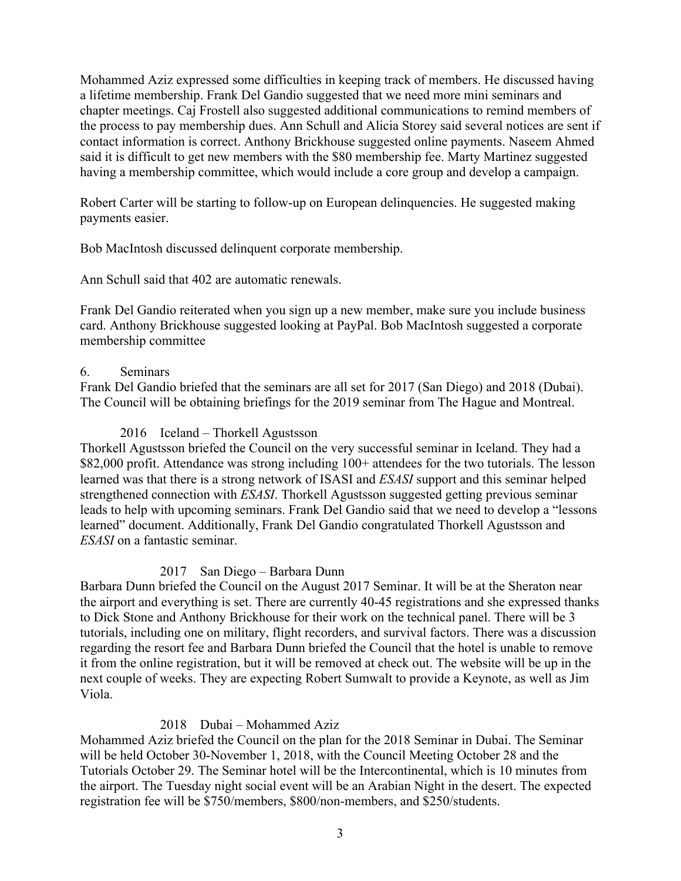Mohammed Aziz expressed some difficulties in keeping track of members. He discussed having a lifetime membership. Frank Del Gandio suggested that we need more mini seminars and chapter meetings. Caj Frostell also suggested additional communications to remind members of the process to pay membership dues. Ann Schull and Alicia Storey said several notices are sent if contact information is correct. Anthony Brickhouse suggested online payments. Naseem Ahmed said it is difficult to get new members with the \$80 membership fee. Marty Martinez suggested having a membership committee, which would include a core group and develop a campaign.

Robert Carter will be starting to follow-up on European delinquencies. He suggested making payments easier.

Bob MacIntosh discussed delinquent corporate membership.

Ann Schull said that 402 are automatic renewals.

Frank Del Gandio reiterated when you sign up a new member, make sure you include business card. Anthony Brickhouse suggested looking at PayPal. Bob MacIntosh suggested a corporate membership committee

## 6. Seminars

Frank Del Gandio briefed that the seminars are all set for 2017 (San Diego) and 2018 (Dubai). The Council will be obtaining briefings for the 2019 seminar from The Hague and Montreal.

## 2016 Iceland – Thorkell Agustsson

Thorkell Agustsson briefed the Council on the very successful seminar in Iceland. They had a \$82,000 profit. Attendance was strong including 100+ attendees for the two tutorials. The lesson learned was that there is a strong network of ISASI and *ESASI* support and this seminar helped strengthened connection with *ESASI*. Thorkell Agustsson suggested getting previous seminar leads to help with upcoming seminars. Frank Del Gandio said that we need to develop a "lessons learned" document. Additionally, Frank Del Gandio congratulated Thorkell Agustsson and *ESASI* on a fantastic seminar.

## 2017 San Diego – Barbara Dunn

Barbara Dunn briefed the Council on the August 2017 Seminar. It will be at the Sheraton near the airport and everything is set. There are currently 40-45 registrations and she expressed thanks to Dick Stone and Anthony Brickhouse for their work on the technical panel. There will be 3 tutorials, including one on military, flight recorders, and survival factors. There was a discussion regarding the resort fee and Barbara Dunn briefed the Council that the hotel is unable to remove it from the online registration, but it will be removed at check out. The website will be up in the next couple of weeks. They are expecting Robert Sumwalt to provide a Keynote, as well as Jim Viola.

## 2018 Dubai – Mohammed Aziz

Mohammed Aziz briefed the Council on the plan for the 2018 Seminar in Dubai. The Seminar will be held October 30-November 1, 2018, with the Council Meeting October 28 and the Tutorials October 29. The Seminar hotel will be the Intercontinental, which is 10 minutes from the airport. The Tuesday night social event will be an Arabian Night in the desert. The expected registration fee will be \$750/members, \$800/non-members, and \$250/students.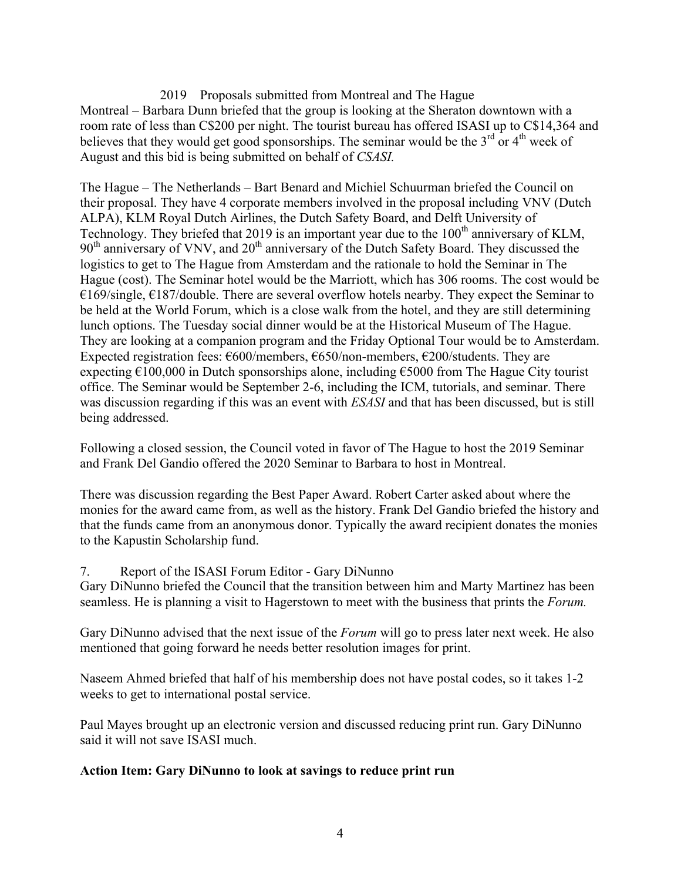2019 Proposals submitted from Montreal and The Hague Montreal – Barbara Dunn briefed that the group is looking at the Sheraton downtown with a room rate of less than C\$200 per night. The tourist bureau has offered ISASI up to C\$14,364 and believes that they would get good sponsorships. The seminar would be the  $3<sup>rd</sup>$  or  $4<sup>th</sup>$  week of August and this bid is being submitted on behalf of *CSASI.*

The Hague – The Netherlands – Bart Benard and Michiel Schuurman briefed the Council on their proposal. They have 4 corporate members involved in the proposal including VNV (Dutch ALPA), KLM Royal Dutch Airlines, the Dutch Safety Board, and Delft University of Technology. They briefed that 2019 is an important year due to the  $100<sup>th</sup>$  anniversary of KLM, 90<sup>th</sup> anniversary of VNV, and 20<sup>th</sup> anniversary of the Dutch Safety Board. They discussed the logistics to get to The Hague from Amsterdam and the rationale to hold the Seminar in The Hague (cost). The Seminar hotel would be the Marriott, which has 306 rooms. The cost would be  $€169/single, €187/double.$  There are several overflow hotels nearby. They expect the Seminar to be held at the World Forum, which is a close walk from the hotel, and they are still determining lunch options. The Tuesday social dinner would be at the Historical Museum of The Hague. They are looking at a companion program and the Friday Optional Tour would be to Amsterdam. Expected registration fees:  $\epsilon$ 600/members,  $\epsilon$ 650/non-members,  $\epsilon$ 200/students. They are expecting  $\epsilon$ 100,000 in Dutch sponsorships alone, including  $\epsilon$ 5000 from The Hague City tourist office. The Seminar would be September 2-6, including the ICM, tutorials, and seminar. There was discussion regarding if this was an event with *ESASI* and that has been discussed, but is still being addressed.

Following a closed session, the Council voted in favor of The Hague to host the 2019 Seminar and Frank Del Gandio offered the 2020 Seminar to Barbara to host in Montreal.

There was discussion regarding the Best Paper Award. Robert Carter asked about where the monies for the award came from, as well as the history. Frank Del Gandio briefed the history and that the funds came from an anonymous donor. Typically the award recipient donates the monies to the Kapustin Scholarship fund.

7. Report of the ISASI Forum Editor - Gary DiNunno

Gary DiNunno briefed the Council that the transition between him and Marty Martinez has been seamless. He is planning a visit to Hagerstown to meet with the business that prints the *Forum.* 

Gary DiNunno advised that the next issue of the *Forum* will go to press later next week. He also mentioned that going forward he needs better resolution images for print.

Naseem Ahmed briefed that half of his membership does not have postal codes, so it takes 1-2 weeks to get to international postal service.

Paul Mayes brought up an electronic version and discussed reducing print run. Gary DiNunno said it will not save ISASI much.

### **Action Item: Gary DiNunno to look at savings to reduce print run**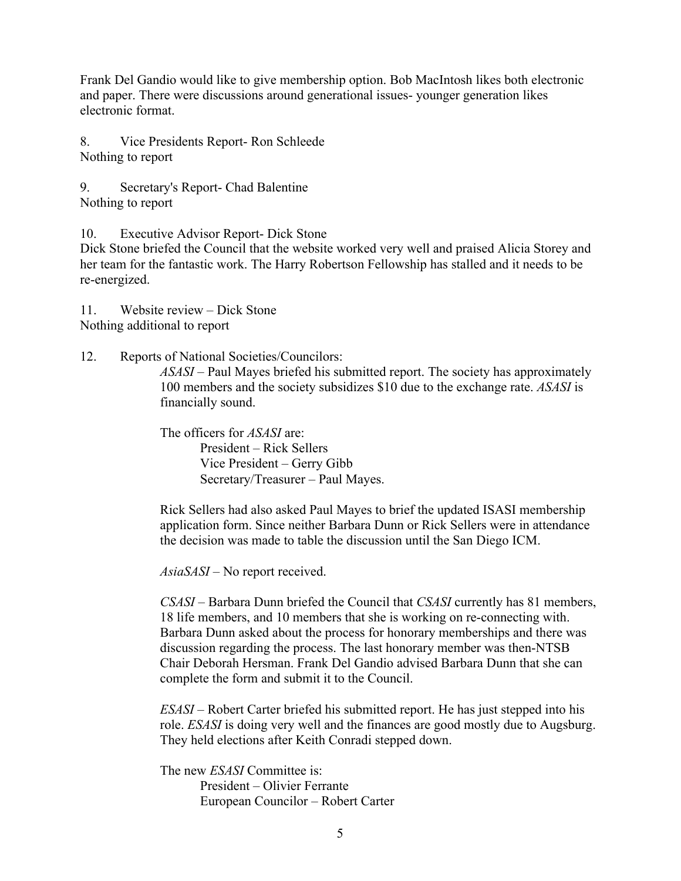Frank Del Gandio would like to give membership option. Bob MacIntosh likes both electronic and paper. There were discussions around generational issues- younger generation likes electronic format.

8. Vice Presidents Report- Ron Schleede Nothing to report

9. Secretary's Report- Chad Balentine Nothing to report

10. Executive Advisor Report- Dick Stone

Dick Stone briefed the Council that the website worked very well and praised Alicia Storey and her team for the fantastic work. The Harry Robertson Fellowship has stalled and it needs to be re-energized.

11. Website review – Dick Stone Nothing additional to report

12. Reports of National Societies/Councilors:

*ASASI –* Paul Mayes briefed his submitted report. The society has approximately 100 members and the society subsidizes \$10 due to the exchange rate. *ASASI* is financially sound.

The officers for *ASASI* are: President – Rick Sellers Vice President – Gerry Gibb Secretary/Treasurer – Paul Mayes.

Rick Sellers had also asked Paul Mayes to brief the updated ISASI membership application form. Since neither Barbara Dunn or Rick Sellers were in attendance the decision was made to table the discussion until the San Diego ICM.

*AsiaSASI* – No report received.

*CSASI –* Barbara Dunn briefed the Council that *CSASI* currently has 81 members, 18 life members, and 10 members that she is working on re-connecting with. Barbara Dunn asked about the process for honorary memberships and there was discussion regarding the process. The last honorary member was then-NTSB Chair Deborah Hersman. Frank Del Gandio advised Barbara Dunn that she can complete the form and submit it to the Council.

*ESASI –* Robert Carter briefed his submitted report. He has just stepped into his role. *ESASI* is doing very well and the finances are good mostly due to Augsburg. They held elections after Keith Conradi stepped down.

The new *ESASI* Committee is: President – Olivier Ferrante European Councilor – Robert Carter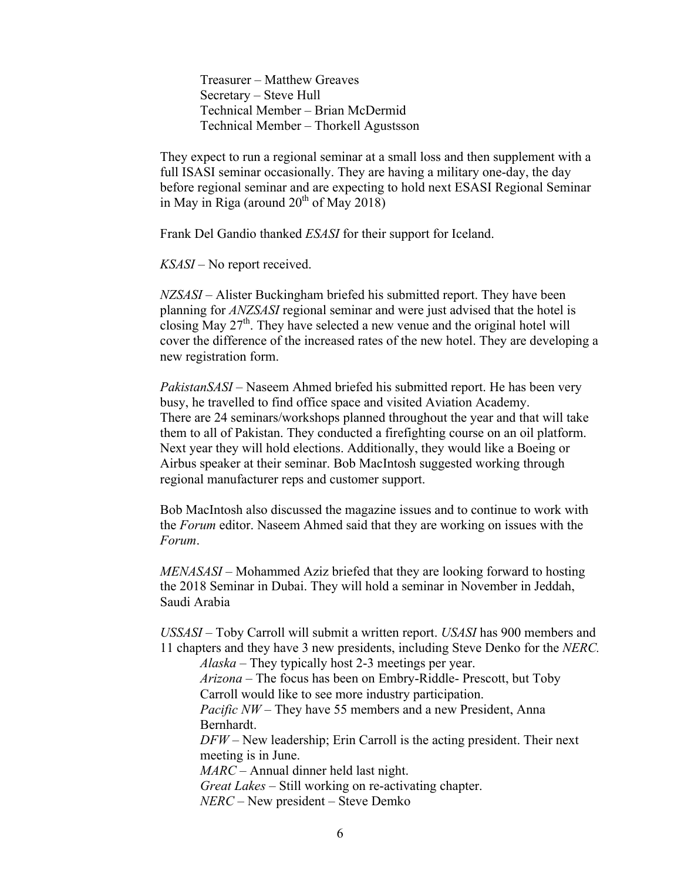Treasurer – Matthew Greaves Secretary – Steve Hull Technical Member – Brian McDermid Technical Member – Thorkell Agustsson

They expect to run a regional seminar at a small loss and then supplement with a full ISASI seminar occasionally. They are having a military one-day, the day before regional seminar and are expecting to hold next ESASI Regional Seminar in May in Riga (around  $20<sup>th</sup>$  of May 2018)

Frank Del Gandio thanked *ESASI* for their support for Iceland.

*KSASI –* No report received.

*NZSASI –* Alister Buckingham briefed his submitted report. They have been planning for *ANZSASI* regional seminar and were just advised that the hotel is closing May  $27<sup>th</sup>$ . They have selected a new venue and the original hotel will cover the difference of the increased rates of the new hotel. They are developing a new registration form.

*PakistanSASI* – Naseem Ahmed briefed his submitted report. He has been very busy, he travelled to find office space and visited Aviation Academy. There are 24 seminars/workshops planned throughout the year and that will take them to all of Pakistan. They conducted a firefighting course on an oil platform. Next year they will hold elections. Additionally, they would like a Boeing or Airbus speaker at their seminar. Bob MacIntosh suggested working through regional manufacturer reps and customer support.

Bob MacIntosh also discussed the magazine issues and to continue to work with the *Forum* editor. Naseem Ahmed said that they are working on issues with the *Forum*.

*MENASASI* – Mohammed Aziz briefed that they are looking forward to hosting the 2018 Seminar in Dubai. They will hold a seminar in November in Jeddah, Saudi Arabia

*USSASI* – Toby Carroll will submit a written report. *USASI* has 900 members and 11 chapters and they have 3 new presidents, including Steve Denko for the *NERC. Alaska –* They typically host 2-3 meetings per year. *Arizona –* The focus has been on Embry-Riddle- Prescott, but Toby Carroll would like to see more industry participation. *Pacific NW* – They have 55 members and a new President, Anna Bernhardt. *DFW* – New leadership; Erin Carroll is the acting president. Their next meeting is in June. *MARC* – Annual dinner held last night. *Great Lakes* – Still working on re-activating chapter. *NERC* – New president – Steve Demko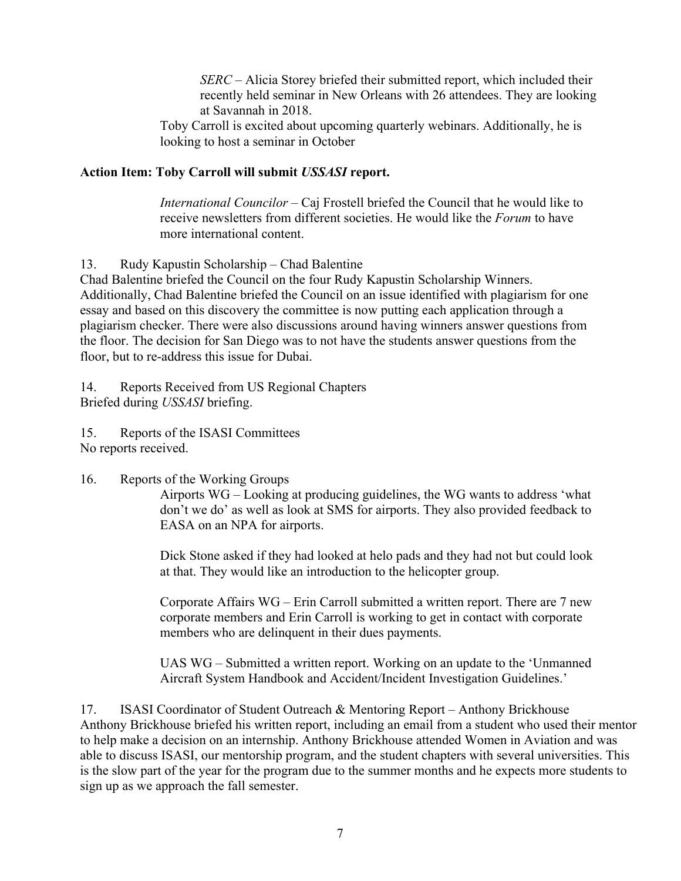*SERC* – Alicia Storey briefed their submitted report, which included their recently held seminar in New Orleans with 26 attendees. They are looking at Savannah in 2018.

Toby Carroll is excited about upcoming quarterly webinars. Additionally, he is looking to host a seminar in October

### **Action Item: Toby Carroll will submit** *USSASI* **report.**

*International Councilor –* Caj Frostell briefed the Council that he would like to receive newsletters from different societies. He would like the *Forum* to have more international content.

13. Rudy Kapustin Scholarship – Chad Balentine

Chad Balentine briefed the Council on the four Rudy Kapustin Scholarship Winners. Additionally, Chad Balentine briefed the Council on an issue identified with plagiarism for one essay and based on this discovery the committee is now putting each application through a plagiarism checker. There were also discussions around having winners answer questions from the floor. The decision for San Diego was to not have the students answer questions from the floor, but to re-address this issue for Dubai.

14. Reports Received from US Regional Chapters Briefed during *USSASI* briefing.

15. Reports of the ISASI Committees No reports received.

### 16. Reports of the Working Groups

Airports WG – Looking at producing guidelines, the WG wants to address 'what don't we do' as well as look at SMS for airports. They also provided feedback to EASA on an NPA for airports.

Dick Stone asked if they had looked at helo pads and they had not but could look at that. They would like an introduction to the helicopter group.

Corporate Affairs WG – Erin Carroll submitted a written report. There are 7 new corporate members and Erin Carroll is working to get in contact with corporate members who are delinquent in their dues payments.

UAS WG – Submitted a written report. Working on an update to the 'Unmanned Aircraft System Handbook and Accident/Incident Investigation Guidelines.'

17. ISASI Coordinator of Student Outreach & Mentoring Report – Anthony Brickhouse Anthony Brickhouse briefed his written report, including an email from a student who used their mentor to help make a decision on an internship. Anthony Brickhouse attended Women in Aviation and was able to discuss ISASI, our mentorship program, and the student chapters with several universities. This is the slow part of the year for the program due to the summer months and he expects more students to sign up as we approach the fall semester.